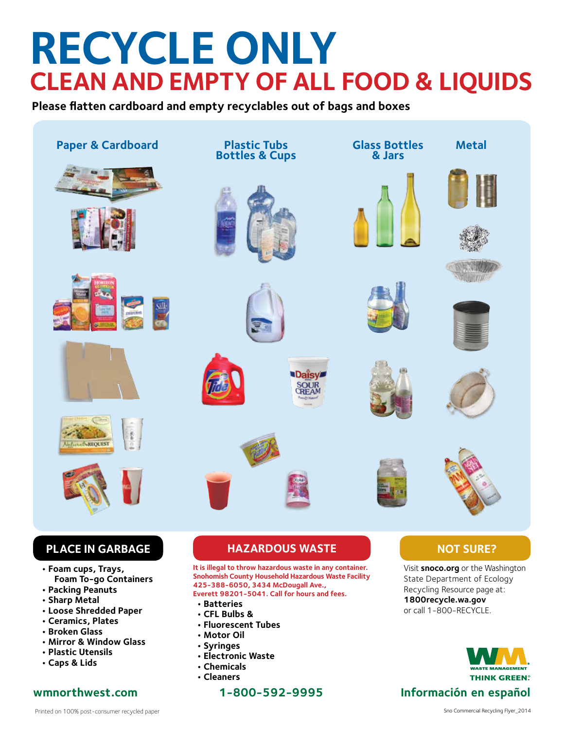## **RECYCLE ONLY CLEAN AND EMPTY OF ALL FOOD & LIQUIDS**

**Please flatten cardboard and empty recyclables out of bags and boxes**



**• Caps & Lids**

- 
- **Chemicals**
- **Cleaners**

**wmnorthwest.com 1-800-592-9995 Información en español**

**THINK GREEN**?